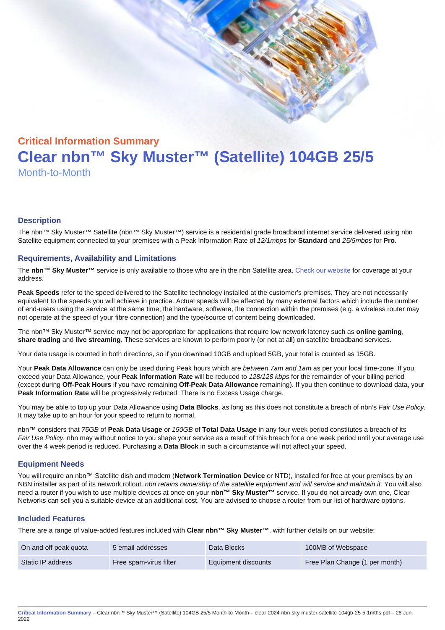# Critical Information Summary Clear nbn™ Sky Muster™ (Satellite) 104GB 25/5 Month-to-Month

#### **Description**

The nbn™ Sky Muster™ Satellite (nbn™ Sky Muster™) service is a residential grade broadband internet service delivered using nbn Satellite equipment connected to your premises with a Peak Information Rate of 12/1mbps for Standard and 25/5mbps for Pro.

#### Requirements, Availability and Limitations

The nbn™ Sky Muster™ service is only available to those who are in the nbn Satellite area. [Check our website](https://www.clear.com.au/residential/nbn-sky-muster/availability-coverage/) for coverage at your address.

Peak Speeds refer to the speed delivered to the Satellite technology installed at the customer's premises. They are not necessarily equivalent to the speeds you will achieve in practice. Actual speeds will be affected by many external factors which include the number of end-users using the service at the same time, the hardware, software, the connection within the premises (e.g. a wireless router may not operate at the speed of your fibre connection) and the type/source of content being downloaded.

The nbn™ Sky Muster™ service may not be appropriate for applications that require low network latency such as online gaming , share trading and live streaming . These services are known to perform poorly (or not at all) on satellite broadband services.

Your data usage is counted in both directions, so if you download 10GB and upload 5GB, your total is counted as 15GB.

Your Peak Data Allowance can only be used during Peak hours which are between 7am and 1am as per your local time-zone. If you exceed your Data Allowance, your Peak Information Rate will be reduced to 128/128 kbps for the remainder of your billing period (except during Off-Peak Hours if you have remaining Off-Peak Data Allowance remaining). If you then continue to download data, your Peak Information Rate will be progressively reduced. There is no Excess Usage charge.

You may be able to top up your Data Allowance using Data Blocks , as long as this does not constitute a breach of nbn's Fair Use Policy. It may take up to an hour for your speed to return to normal.

nbn™ considers that 75GB of Peak Data Usage or 150GB of Total Data Usage in any four week period constitutes a breach of its Fair Use Policy. nbn may without notice to you shape your service as a result of this breach for a one week period until your average use over the 4 week period is reduced. Purchasing a Data Block in such a circumstance will not affect your speed.

#### Equipment Needs

You will require an nbn™ Satellite dish and modem (Network Termination Device or NTD), installed for free at your premises by an NBN installer as part of its network rollout. nbn retains ownership of the satellite equipment and will service and maintain it. You will also need a router if you wish to use multiple devices at once on your nbn™ Sky Muster™ service. If you do not already own one, Clear Networks can sell you a suitable device at an additional cost. You are advised to choose a router from our list of hardware options.

#### Included Features

There are a range of value-added features included with Clear nbn™ Sky Muster™ , with further details on our website;

| On and off peak quota | 5 email addresses      | Data Blocks         | 100MB of Webspace              |
|-----------------------|------------------------|---------------------|--------------------------------|
| Static IP address     | Free spam-virus filter | Equipment discounts | Free Plan Change (1 per month) |